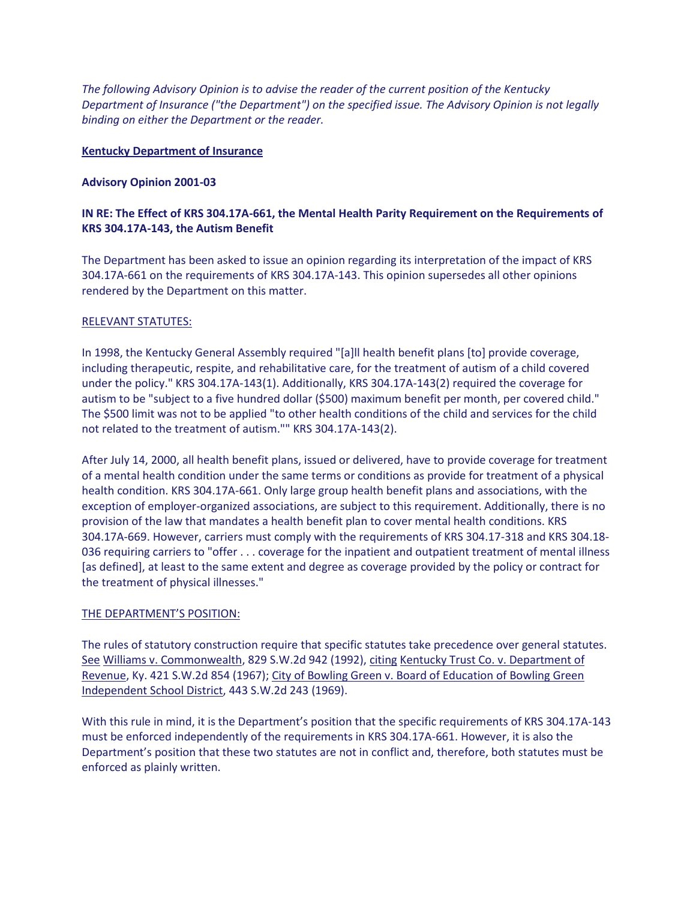*The following Advisory Opinion is to advise the reader of the current position of the Kentucky Department of Insurance ("the Department") on the specified issue. The Advisory Opinion is not legally binding on either the Department or the reader.*

### **Kentucky Department of Insurance**

#### **Advisory Opinion 2001-03**

## **IN RE: The Effect of KRS 304.17A-661, the Mental Health Parity Requirement on the Requirements of KRS 304.17A-143, the Autism Benefit**

The Department has been asked to issue an opinion regarding its interpretation of the impact of KRS 304.17A-661 on the requirements of KRS 304.17A-143. This opinion supersedes all other opinions rendered by the Department on this matter.

#### RELEVANT STATUTES:

In 1998, the Kentucky General Assembly required "[a]ll health benefit plans [to] provide coverage, including therapeutic, respite, and rehabilitative care, for the treatment of autism of a child covered under the policy." KRS 304.17A-143(1). Additionally, KRS 304.17A-143(2) required the coverage for autism to be "subject to a five hundred dollar (\$500) maximum benefit per month, per covered child." The \$500 limit was not to be applied "to other health conditions of the child and services for the child not related to the treatment of autism."" KRS 304.17A-143(2).

After July 14, 2000, all health benefit plans, issued or delivered, have to provide coverage for treatment of a mental health condition under the same terms or conditions as provide for treatment of a physical health condition. KRS 304.17A-661. Only large group health benefit plans and associations, with the exception of employer-organized associations, are subject to this requirement. Additionally, there is no provision of the law that mandates a health benefit plan to cover mental health conditions. KRS 304.17A-669. However, carriers must comply with the requirements of KRS 304.17-318 and KRS 304.18- 036 requiring carriers to "offer . . . coverage for the inpatient and outpatient treatment of mental illness [as defined], at least to the same extent and degree as coverage provided by the policy or contract for the treatment of physical illnesses."

#### THE DEPARTMENT'S POSITION:

The rules of statutory construction require that specific statutes take precedence over general statutes. See Williams v. Commonwealth, 829 S.W.2d 942 (1992), citing Kentucky Trust Co. v. Department of Revenue, Ky. 421 S.W.2d 854 (1967); City of Bowling Green v. Board of Education of Bowling Green Independent School District, 443 S.W.2d 243 (1969).

With this rule in mind, it is the Department's position that the specific requirements of KRS 304.17A-143 must be enforced independently of the requirements in KRS 304.17A-661. However, it is also the Department's position that these two statutes are not in conflict and, therefore, both statutes must be enforced as plainly written.